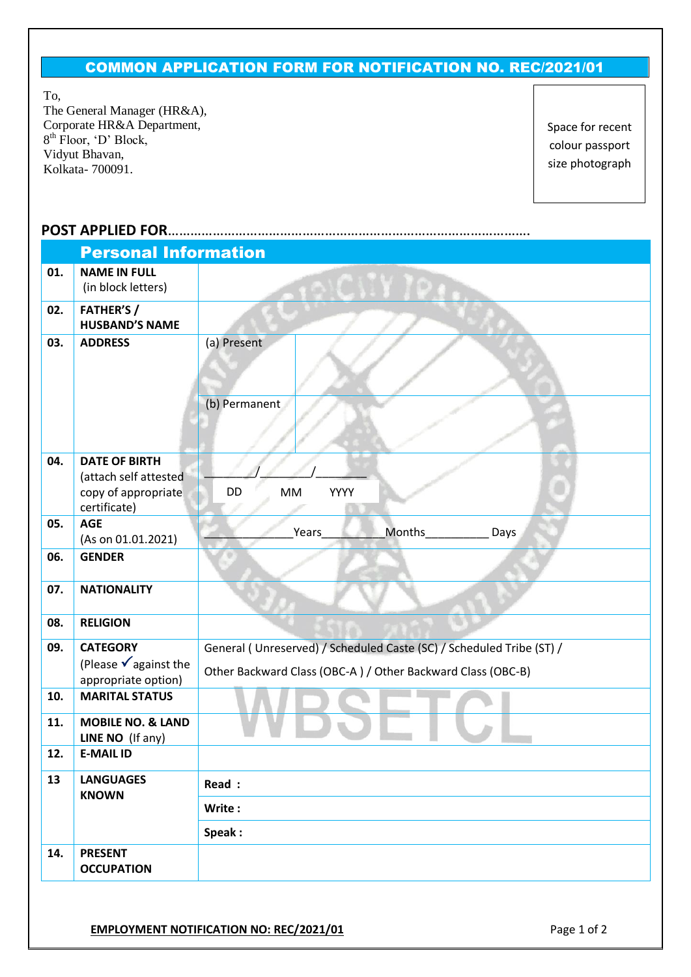## COMMON APPLICATION FORM FOR NOTIFICATION NO. REC/2021/01

To,

The General Manager (HR&A), Corporate HR&A Department, 8 th Floor, 'D' Block, Vidyut Bhavan, Kolkata- 700091.

Space for recent colour passport size photograph

## **POST APPLIED FOR**…………………………………………………………………………………….

| <b>Personal Information</b> |                                                                            |                                                                                                                                     |  |  |  |  |
|-----------------------------|----------------------------------------------------------------------------|-------------------------------------------------------------------------------------------------------------------------------------|--|--|--|--|
| 01.                         | <b>NAME IN FULL</b><br>(in block letters)                                  |                                                                                                                                     |  |  |  |  |
| 02.                         | <b>FATHER'S/</b><br><b>HUSBAND'S NAME</b>                                  |                                                                                                                                     |  |  |  |  |
| 03.                         | <b>ADDRESS</b>                                                             | (a) Present<br>(b) Permanent                                                                                                        |  |  |  |  |
| 04.                         | <b>DATE OF BIRTH</b><br>(attach self attested                              |                                                                                                                                     |  |  |  |  |
|                             | copy of appropriate<br>certificate)                                        | DD<br>YYYY<br>MM                                                                                                                    |  |  |  |  |
| 05.                         | <b>AGE</b><br>(As on 01.01.2021)                                           | <b>Months</b><br>Years<br>Days                                                                                                      |  |  |  |  |
| 06.                         | <b>GENDER</b>                                                              |                                                                                                                                     |  |  |  |  |
| 07.                         | <b>NATIONALITY</b>                                                         |                                                                                                                                     |  |  |  |  |
| 08.                         | <b>RELIGION</b>                                                            |                                                                                                                                     |  |  |  |  |
| 09.                         | <b>CATEGORY</b><br>(Please $\checkmark$ against the<br>appropriate option) | General (Unreserved) / Scheduled Caste (SC) / Scheduled Tribe (ST) /<br>Other Backward Class (OBC-A) / Other Backward Class (OBC-B) |  |  |  |  |
| 10.                         | <b>MARITAL STATUS</b>                                                      |                                                                                                                                     |  |  |  |  |
| 11.                         | <b>MOBILE NO. &amp; LAND</b><br>LINE NO (If any)                           |                                                                                                                                     |  |  |  |  |
| 12.                         | <b>E-MAIL ID</b>                                                           |                                                                                                                                     |  |  |  |  |
| 13                          | <b>LANGUAGES</b><br><b>KNOWN</b>                                           | Read :                                                                                                                              |  |  |  |  |
|                             |                                                                            | Write:                                                                                                                              |  |  |  |  |
| 14.                         | <b>PRESENT</b><br><b>OCCUPATION</b>                                        | Speak:                                                                                                                              |  |  |  |  |
|                             |                                                                            |                                                                                                                                     |  |  |  |  |